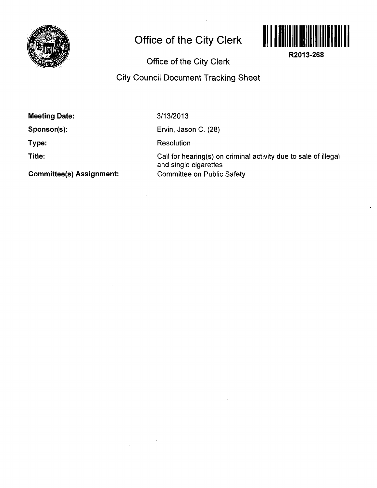

## **Office of the City Clerk**



**R2013-268** 

**Office of the City Clerk** 

## **City Council Document Tracking Sheet**

**Meeting Date:** 

**Sponsor(s):** 

**Type:** 

**Title:** 

**3/13/2013** 

Ervin, Jason C. (28)

**Resolution** 

 $\bar{z}$ 

Call for hearing(s) on criminal activity due to sale of illegal and single cigarettes Committee on Public Safety

**Committee(s) Assignment:**